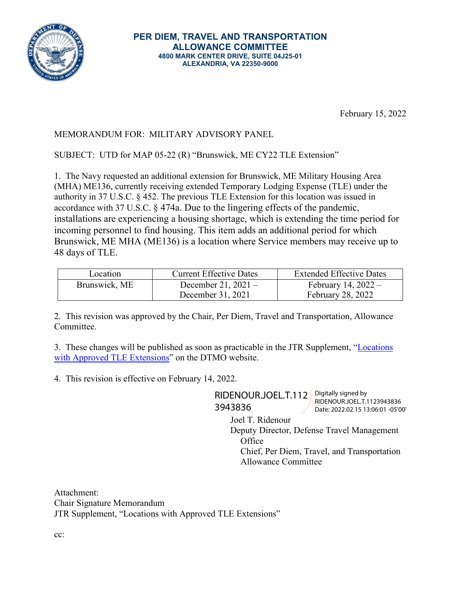

February 15, 2022

## MEMORANDUM FOR: MILITARY ADVISORY PANEL

SUBJECT: UTD for MAP 05-22 (R) "Brunswick, ME CY22 TLE Extension"

1. The Navy requested an additional extension for Brunswick, ME Military Housing Area (MHA) ME136, currently receiving extended Temporary Lodging Expense (TLE) under the authority in 37 U.S.C. § 452. The previous TLE Extension for this location was issued in accordance with 37 U.S.C. § 474a. Due to the lingering effects of the pandemic, installations are experiencing a housing shortage, which is extending the time period for incoming personnel to find housing. This item adds an additional period for which Brunswick, ME MHA (ME136) is a location where Service members may receive up to 48 days of TLE.

| Location      | <b>Current Effective Dates</b> | <b>Extended Effective Dates</b> |
|---------------|--------------------------------|---------------------------------|
| Brunswick, ME | December 21, $2021 -$          | February 14, $2022 -$           |
|               | December 31, 2021              | <b>February 28, 2022</b>        |

2. This revision was approved by the Chair, Per Diem, Travel and Transportation, Allowance Committee.

3. These changes will be published as soon as practicable in the JTR Supplement, ["Locations](https://www.defensetravel.dod.mil/site/travelreg_sup.cfm) [with Approved TLE Extensions"](https://www.defensetravel.dod.mil/site/travelreg_sup.cfm) on the DTMO website.

4. This revision is effective on February 14, 2022.

RIDENOUR.JOEL.T.112 Pigitally signed by 3943836

RIDENOUR.JOEL.T.1123943836 Date: 2022.02.15 13:06:01 -05'00'

Joel T. Ridenour

Deputy Director, Defense Travel Management **Office** 

Chief, Per Diem, Travel, and Transportation Allowance Committee

Attachment: Chair Signature Memorandum JTR Supplement, "Locations with Approved TLE Extensions"

cc: